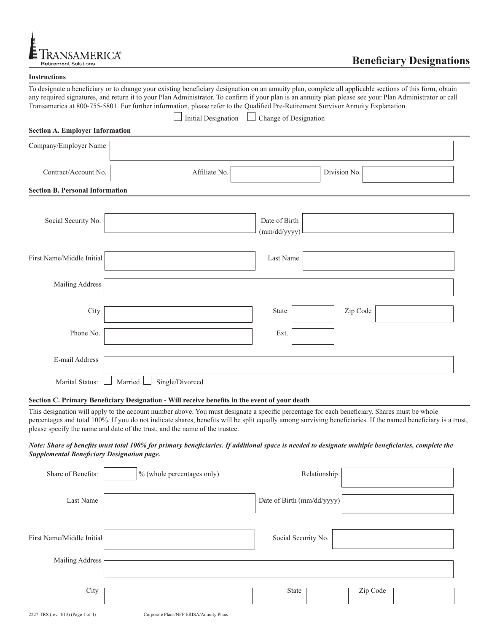

# **Beneficiary Designations**

|                                        | To designate a beneficiary or to change your existing beneficiary designation on an annuity plan, complete all applicable sections of this form, obtain<br>any required signatures, and return it to your Plan Administrator. To confirm if your plan is an annuity plan please see your Plan Administrator or call<br>Transamerica at 800-755-5801. For further information, please refer to the Qualified Pre-Retirement Survivor Annuity Explanation. |                               |              |  |
|----------------------------------------|----------------------------------------------------------------------------------------------------------------------------------------------------------------------------------------------------------------------------------------------------------------------------------------------------------------------------------------------------------------------------------------------------------------------------------------------------------|-------------------------------|--------------|--|
|                                        | <b>Initial Designation</b>                                                                                                                                                                                                                                                                                                                                                                                                                               | Change of Designation         |              |  |
| <b>Section A. Employer Information</b> |                                                                                                                                                                                                                                                                                                                                                                                                                                                          |                               |              |  |
| Company/Employer Name                  |                                                                                                                                                                                                                                                                                                                                                                                                                                                          |                               |              |  |
| Contract/Account No.                   | Affiliate No.                                                                                                                                                                                                                                                                                                                                                                                                                                            |                               | Division No. |  |
| <b>Section B. Personal Information</b> |                                                                                                                                                                                                                                                                                                                                                                                                                                                          |                               |              |  |
|                                        |                                                                                                                                                                                                                                                                                                                                                                                                                                                          |                               |              |  |
| Social Security No.                    |                                                                                                                                                                                                                                                                                                                                                                                                                                                          | Date of Birth<br>(mm/dd/yyyy) |              |  |
| First Name/Middle Initial              |                                                                                                                                                                                                                                                                                                                                                                                                                                                          | Last Name                     |              |  |
| Mailing Address                        |                                                                                                                                                                                                                                                                                                                                                                                                                                                          |                               |              |  |
| City                                   |                                                                                                                                                                                                                                                                                                                                                                                                                                                          | <b>State</b>                  | Zip Code     |  |
| Phone No.                              |                                                                                                                                                                                                                                                                                                                                                                                                                                                          | Ext.                          |              |  |
| E-mail Address                         |                                                                                                                                                                                                                                                                                                                                                                                                                                                          |                               |              |  |
| Marital Status:                        | Married<br>Single/Divorced                                                                                                                                                                                                                                                                                                                                                                                                                               |                               |              |  |

#### **Section C. Primary Beneficiary Designation - Will receive benefits in the event of your death**

This designation will apply to the account number above. You must designate a specific percentage for each beneficiary. Shares must be whole percentages and total 100%. If you do not indicate shares, benefits will be split equally among surviving beneficiaries. If the named beneficiary is a trust, please specify the name and date of the trust, and the name of the trustee.

# *Note: Share of benefits must total 100% for primary beneficiaries. If additional space is needed to designate multiple beneficiaries, complete the Supplemental Beneficiary Designation page.*

| Share of Benefits:                 | $\frac{1}{6}$ (whole percentages only)  | Relationship               |          |
|------------------------------------|-----------------------------------------|----------------------------|----------|
| Last Name                          |                                         | Date of Birth (mm/dd/yyyy) |          |
| First Name/Middle Initial          |                                         | Social Security No.        |          |
| Mailing Address                    |                                         |                            |          |
| City                               |                                         | State                      | Zip Code |
| 2227-TRS (rev. 4/13) (Page 1 of 4) | Corporate Plans/NFP ERISA/Annuity Plans |                            |          |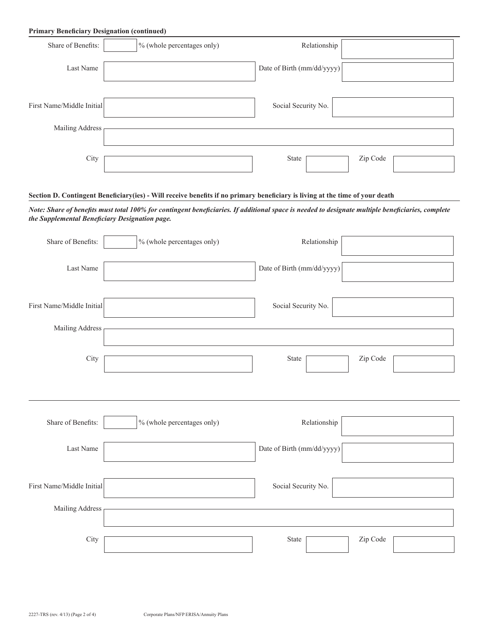# **Primary Beneficiary Designation (continued)**

| Share of Benefits:        | % (whole percentages only) | Relationship               |          |
|---------------------------|----------------------------|----------------------------|----------|
| Last Name                 |                            | Date of Birth (mm/dd/yyyy) |          |
| First Name/Middle Initial |                            | Social Security No.        |          |
| Mailing Address           |                            |                            |          |
| City                      |                            | State                      | Zip Code |

# **Section D. Contingent Beneficiary(ies) - Will receive benefits if no primary beneficiary is living at the time of your death**

*Note: Share of benefits must total 100% for contingent beneficiaries. If additional space is needed to designate multiple beneficiaries, complete the Supplemental Beneficiary Designation page.*

| Share of Benefits:        | % (whole percentages only) | Relationship               |          |
|---------------------------|----------------------------|----------------------------|----------|
| Last Name                 |                            | Date of Birth (mm/dd/yyyy) |          |
| First Name/Middle Initial |                            | Social Security No.        |          |
| Mailing Address           |                            |                            |          |
| City                      |                            | State                      | Zip Code |
|                           |                            |                            |          |
| Share of Benefits:        | % (whole percentages only) | Relationship               |          |
| Last Name                 |                            | Date of Birth (mm/dd/yyyy) |          |
| First Name/Middle Initial |                            | Social Security No.        |          |
| Mailing Address           |                            |                            |          |
| City                      |                            | State                      | Zip Code |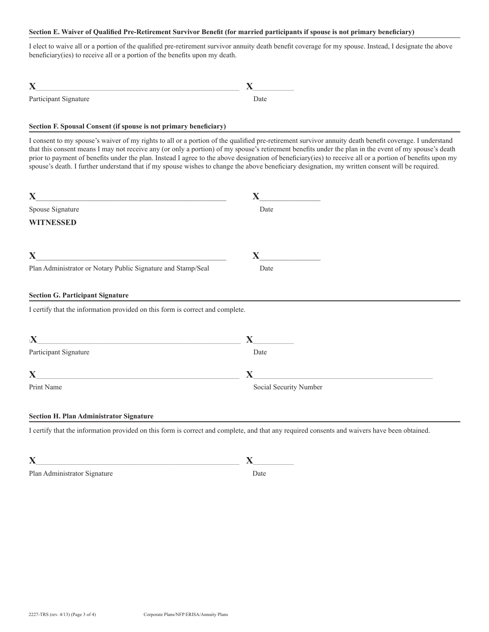### **Section E. Waiver of Qualified Pre-Retirement Survivor Benefit (for married participants if spouse is not primary beneficiary)**

I elect to waive all or a portion of the qualified pre-retirement survivor annuity death benefit coverage for my spouse. Instead, I designate the above beneficiary(ies) to receive all or a portion of the benefits upon my death.

| Participant Signature | <b>Date</b> |
|-----------------------|-------------|

# **Section F. Spousal Consent (if spouse is not primary beneficiary)**

I consent to my spouse's waiver of my rights to all or a portion of the qualified pre-retirement survivor annuity death benefit coverage. I understand that this consent means I may not receive any (or only a portion) of my spouse's retirement benefits under the plan in the event of my spouse's death prior to payment of benefits under the plan. Instead I agree to the above designation of beneficiary(ies) to receive all or a portion of benefits upon my spouse's death. I further understand that if my spouse wishes to change the above beneficiary designation, my written consent will be required.

| $\mathbf{X}$<br><u> 1980 - Jan Samuel Barbara, margaret e</u> n 1980 eta 1980 eta 1980 eta 1980 eta 1980 eta 1980 eta 1980 eta 1980 e        | $\mathbf X$                                                                                                                           |
|----------------------------------------------------------------------------------------------------------------------------------------------|---------------------------------------------------------------------------------------------------------------------------------------|
| Spouse Signature                                                                                                                             | Date                                                                                                                                  |
| <b>WITNESSED</b>                                                                                                                             |                                                                                                                                       |
| $\mathbf X$<br><u> 1989 - Johann Barbara, martxa al III-lea (h. 1989).</u>                                                                   | $\mathbf{X}$                                                                                                                          |
| Plan Administrator or Notary Public Signature and Stamp/Seal                                                                                 | Date                                                                                                                                  |
| <b>Section G. Participant Signature</b>                                                                                                      |                                                                                                                                       |
| I certify that the information provided on this form is correct and complete.                                                                |                                                                                                                                       |
| $\mathbf X$<br><u> 1980 - Jan Alexandria (h. 1980).</u>                                                                                      | $\mathbf{X}$                                                                                                                          |
| Participant Signature                                                                                                                        | Date                                                                                                                                  |
| $\mathbf{X}$<br>the control of the control of the control of the control of the control of                                                   | <u> 1980 - Jan Barbara Barat, martin da basar da basar da basar da basar da basar da basar da basar da basar da b</u><br>$\mathbf{X}$ |
| Print Name                                                                                                                                   | Social Security Number                                                                                                                |
| <b>Section H. Plan Administrator Signature</b>                                                                                               |                                                                                                                                       |
| I certify that the information provided on this form is correct and complete, and that any required consents and waivers have been obtained. |                                                                                                                                       |

| Plan Administrator Signature |  |
|------------------------------|--|